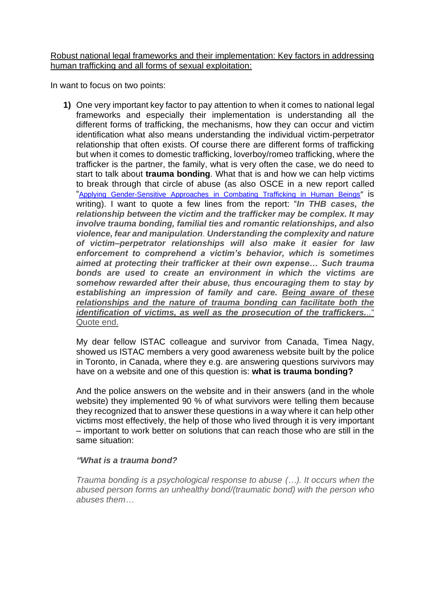Robust national legal frameworks and their implementation: Key factors in addressing human trafficking and all forms of sexual exploitation:

In want to focus on two points:

**1)** One very important key factor to pay attention to when it comes to national legal frameworks and especially their implementation is understanding all the different forms of trafficking, the mechanisms, how they can occur and victim identification what also means understanding the individual victim-perpetrator relationship that often exists. Of course there are different forms of trafficking but when it comes to domestic trafficking, loverboy/romeo trafficking, where the trafficker is the partner, the family, what is very often the case, we do need to start to talk about **trauma bonding**. What that is and how we can help victims to break through that circle of abuse (as also OSCE in a new report called "[Applying Gender-Sensitive Approaches in Combating Trafficking in Human Beings](https://www.osce.org/files/f/documents/7/4/486700_1.pdf)" is writing). I want to quote a few lines from the report: "*In THB cases, the relationship between the victim and the trafficker may be complex. It may involve trauma bonding, familial ties and romantic relationships, and also violence, fear and manipulation. Understanding the complexity and nature of victim–perpetrator relationships will also make it easier for law enforcement to comprehend a victim's behavior, which is sometimes aimed at protecting their trafficker at their own expense… Such trauma bonds are used to create an environment in which the victims are somehow rewarded after their abuse, thus encouraging them to stay by establishing an impression of family and care. Being aware of these relationships and the nature of trauma bonding can facilitate both the identification of victims, as well as the prosecution of the traffickers...*" Quote end.

My dear fellow ISTAC colleague and survivor from Canada, Timea Nagy, showed us ISTAC members a very good awareness website built by the police in Toronto, in Canada, where they e.g. are answering questions survivors may have on a website and one of this question is: **what is trauma bonding?**

And the police answers on the website and in their answers (and in the whole website) they implemented 90 % of what survivors were telling them because they recognized that to answer these questions in a way where it can help other victims most effectively, the help of those who lived through it is very important – important to work better on solutions that can reach those who are still in the same situation:

## *"What is a trauma bond?*

*Trauma bonding is a psychological response to abuse (…). It occurs when the abused person forms an unhealthy bond/(traumatic bond) with the person who abuses them…*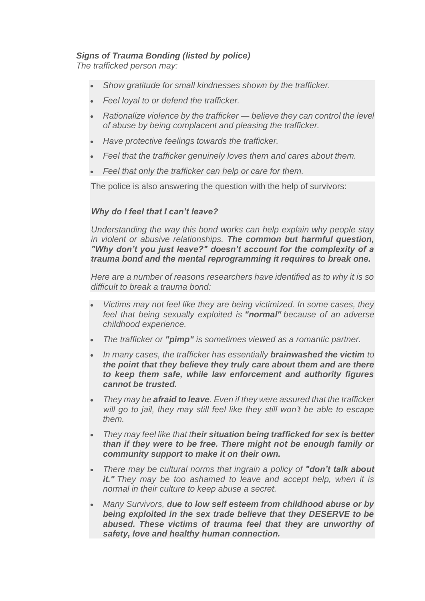## *Signs of Trauma Bonding (listed by police)*

*The trafficked person may:*

- *Show gratitude for small kindnesses shown by the trafficker.*
- *Feel loyal to or defend the trafficker.*
- *Rationalize violence by the trafficker — believe they can control the level of abuse by being complacent and pleasing the trafficker.*
- *Have protective feelings towards the trafficker.*
- *Feel that the trafficker genuinely loves them and cares about them.*
- *Feel that only the trafficker can help or care for them.*

The police is also answering the question with the help of survivors:

## *Why do I feel that I can't leave?*

*Understanding the way this bond works can help explain why people stay in violent or abusive relationships. The common but harmful question, "Why don't you just leave?" doesn't account for the complexity of a trauma bond and the mental reprogramming it requires to break one.*

*Here are a number of reasons researchers have identified as to why it is so difficult to break a trauma bond:*

- *Victims may not feel like they are being victimized. In some cases, they feel that being sexually exploited is "normal" because of an adverse childhood experience.*
- *The trafficker or "pimp" is sometimes viewed as a romantic partner.*
- *In many cases, the trafficker has essentially brainwashed the victim to the point that they believe they truly care about them and are there to keep them safe, while law enforcement and authority figures cannot be trusted.*
- *They may be afraid to leave. Even if they were assured that the trafficker will go to jail, they may still feel like they still won't be able to escape them.*
- *They may feel like that their situation being trafficked for sex is better than if they were to be free. There might not be enough family or community support to make it on their own.*
- *There may be cultural norms that ingrain a policy of "don't talk about it." They may be too ashamed to leave and accept help, when it is normal in their culture to keep abuse a secret.*
- *Many Survivors, due to low self esteem from childhood abuse or by being exploited in the sex trade believe that they DESERVE to be abused. These victims of trauma feel that they are unworthy of safety, love and healthy human connection.*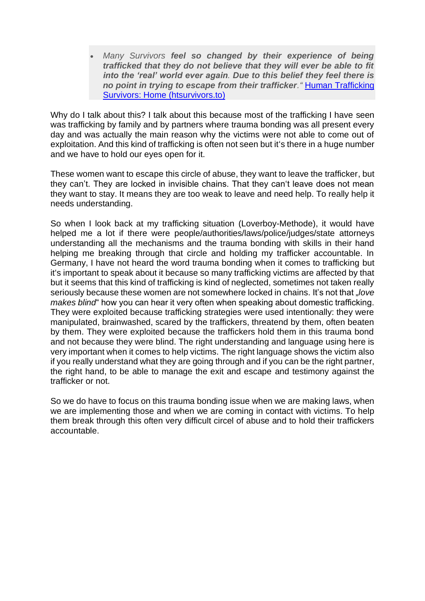• *Many Survivors feel so changed by their experience of being trafficked that they do not believe that they will ever be able to fit into the 'real' world ever again. Due to this belief they feel there is no point in trying to escape from their trafficker."* [Human Trafficking](https://www.htsurvivors.to/)  [Survivors: Home \(htsurvivors.to\)](https://www.htsurvivors.to/)

Why do I talk about this? I talk about this because most of the trafficking I have seen was trafficking by family and by partners where trauma bonding was all present every day and was actually the main reason why the victims were not able to come out of exploitation. And this kind of trafficking is often not seen but it's there in a huge number and we have to hold our eyes open for it.

These women want to escape this circle of abuse, they want to leave the trafficker, but they can't. They are locked in invisible chains. That they can't leave does not mean they want to stay. It means they are too weak to leave and need help. To really help it needs understanding.

So when I look back at my trafficking situation (Loverboy-Methode), it would have helped me a lot if there were people/authorities/laws/police/judges/state attorneys understanding all the mechanisms and the trauma bonding with skills in their hand helping me breaking through that circle and holding my trafficker accountable. In Germany, I have not heard the word trauma bonding when it comes to trafficking but it's important to speak about it because so many trafficking victims are affected by that but it seems that this kind of trafficking is kind of neglected, sometimes not taken really seriously because these women are not somewhere locked in chains. It's not that "*love makes blind*" how you can hear it very often when speaking about domestic trafficking. They were exploited because trafficking strategies were used intentionally: they were manipulated, brainwashed, scared by the traffickers, threatend by them, often beaten by them. They were exploited because the traffickers hold them in this trauma bond and not because they were blind. The right understanding and language using here is very important when it comes to help victims. The right language shows the victim also if you really understand what they are going through and if you can be the right partner, the right hand, to be able to manage the exit and escape and testimony against the trafficker or not.

So we do have to focus on this trauma bonding issue when we are making laws, when we are implementing those and when we are coming in contact with victims. To help them break through this often very difficult circel of abuse and to hold their traffickers accountable.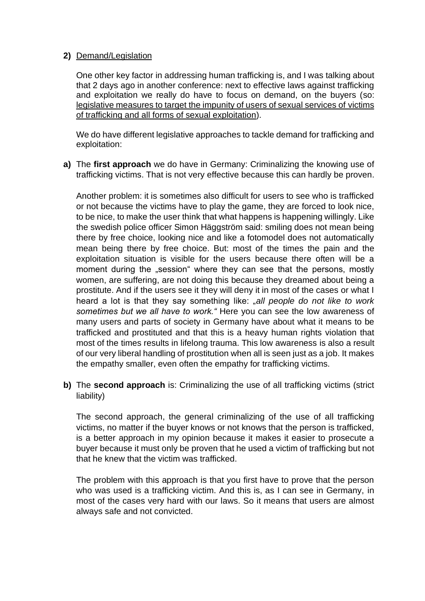## **2)** Demand/Legislation

One other key factor in addressing human trafficking is, and I was talking about that 2 days ago in another conference: next to effective laws against trafficking and exploitation we really do have to focus on demand, on the buyers (so: legislative measures to target the impunity of users of sexual services of victims of trafficking and all forms of sexual exploitation).

We do have different legislative approaches to tackle demand for trafficking and exploitation:

**a)** The **first approach** we do have in Germany: Criminalizing the knowing use of trafficking victims. That is not very effective because this can hardly be proven.

Another problem: it is sometimes also difficult for users to see who is trafficked or not because the victims have to play the game, they are forced to look nice, to be nice, to make the user think that what happens is happening willingly. Like the swedish police officer Simon Häggström said: smiling does not mean being there by free choice, looking nice and like a fotomodel does not automatically mean being there by free choice. But: most of the times the pain and the exploitation situation is visible for the users because there often will be a moment during the "session" where they can see that the persons, mostly women, are suffering, are not doing this because they dreamed about being a prostitute. And if the users see it they will deny it in most of the cases or what I heard a lot is that they say something like: "*all people do not like to work sometimes but we all have to work."* Here you can see the low awareness of many users and parts of society in Germany have about what it means to be trafficked and prostituted and that this is a heavy human rights violation that most of the times results in lifelong trauma. This low awareness is also a result of our very liberal handling of prostitution when all is seen just as a job. It makes the empathy smaller, even often the empathy for trafficking victims.

**b)** The **second approach** is: Criminalizing the use of all trafficking victims (strict liability)

The second approach, the general criminalizing of the use of all trafficking victims, no matter if the buyer knows or not knows that the person is trafficked, is a better approach in my opinion because it makes it easier to prosecute a buyer because it must only be proven that he used a victim of trafficking but not that he knew that the victim was trafficked.

The problem with this approach is that you first have to prove that the person who was used is a trafficking victim. And this is, as I can see in Germany, in most of the cases very hard with our laws. So it means that users are almost always safe and not convicted.